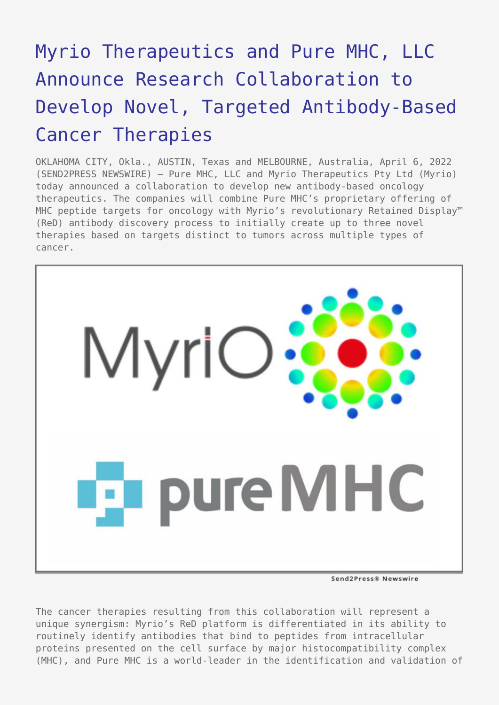# [Myrio Therapeutics and Pure MHC, LLC](https://www.send2press.com/wire/myrio-therapeutics-and-pure-mhc-llc-announce-research-collaboration-to-develop-novel-targeted-antibody-based-cancer-therapies/) [Announce Research Collaboration to](https://www.send2press.com/wire/myrio-therapeutics-and-pure-mhc-llc-announce-research-collaboration-to-develop-novel-targeted-antibody-based-cancer-therapies/) [Develop Novel, Targeted Antibody-Based](https://www.send2press.com/wire/myrio-therapeutics-and-pure-mhc-llc-announce-research-collaboration-to-develop-novel-targeted-antibody-based-cancer-therapies/) [Cancer Therapies](https://www.send2press.com/wire/myrio-therapeutics-and-pure-mhc-llc-announce-research-collaboration-to-develop-novel-targeted-antibody-based-cancer-therapies/)

OKLAHOMA CITY, Okla., AUSTIN, Texas and MELBOURNE, Australia, April 6, 2022 (SEND2PRESS NEWSWIRE) — Pure MHC, LLC and Myrio Therapeutics Pty Ltd (Myrio) today announced a collaboration to develop new antibody-based oncology therapeutics. The companies will combine Pure MHC's proprietary offering of MHC peptide targets for oncology with Myrio's revolutionary Retained Display™ (ReD) antibody discovery process to initially create up to three novel therapies based on targets distinct to tumors across multiple types of cancer.



Send2Press® Newswire

The cancer therapies resulting from this collaboration will represent a unique synergism: Myrio's ReD platform is differentiated in its ability to routinely identify antibodies that bind to peptides from intracellular proteins presented on the cell surface by major histocompatibility complex (MHC), and Pure MHC is a world-leader in the identification and validation of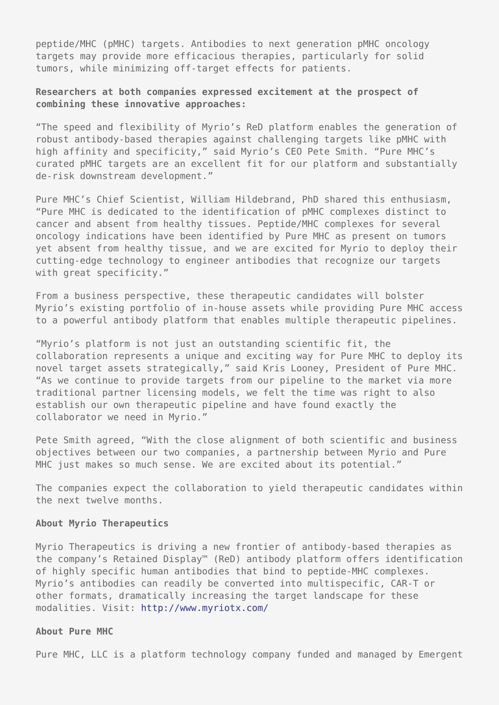peptide/MHC (pMHC) targets. Antibodies to next generation pMHC oncology targets may provide more efficacious therapies, particularly for solid tumors, while minimizing off-target effects for patients.

## **Researchers at both companies expressed excitement at the prospect of combining these innovative approaches:**

"The speed and flexibility of Myrio's ReD platform enables the generation of robust antibody-based therapies against challenging targets like pMHC with high affinity and specificity," said Myrio's CEO Pete Smith. "Pure MHC's curated pMHC targets are an excellent fit for our platform and substantially de-risk downstream development."

Pure MHC's Chief Scientist, William Hildebrand, PhD shared this enthusiasm, "Pure MHC is dedicated to the identification of pMHC complexes distinct to cancer and absent from healthy tissues. Peptide/MHC complexes for several oncology indications have been identified by Pure MHC as present on tumors yet absent from healthy tissue, and we are excited for Myrio to deploy their cutting-edge technology to engineer antibodies that recognize our targets with great specificity."

From a business perspective, these therapeutic candidates will bolster Myrio's existing portfolio of in-house assets while providing Pure MHC access to a powerful antibody platform that enables multiple therapeutic pipelines.

"Myrio's platform is not just an outstanding scientific fit, the collaboration represents a unique and exciting way for Pure MHC to deploy its novel target assets strategically," said Kris Looney, President of Pure MHC. "As we continue to provide targets from our pipeline to the market via more traditional partner licensing models, we felt the time was right to also establish our own therapeutic pipeline and have found exactly the collaborator we need in Myrio."

Pete Smith agreed, "With the close alignment of both scientific and business objectives between our two companies, a partnership between Myrio and Pure MHC just makes so much sense. We are excited about its potential."

The companies expect the collaboration to yield therapeutic candidates within the next twelve months.

#### **About Myrio Therapeutics**

Myrio Therapeutics is driving a new frontier of antibody-based therapies as the company's Retained Display™ (ReD) antibody platform offers identification of highly specific human antibodies that bind to peptide-MHC complexes. Myrio's antibodies can readily be converted into multispecific, CAR-T or other formats, dramatically increasing the target landscape for these modalities. Visit:<http://www.myriotx.com/>

#### **About Pure MHC**

Pure MHC, LLC is a platform technology company funded and managed by Emergent